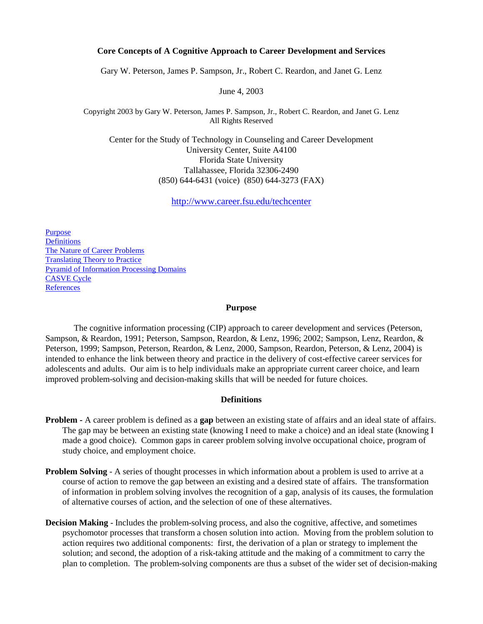### **Core Concepts of A Cognitive Approach to Career Development and Services**

Gary W. Peterson, James P. Sampson, Jr., Robert C. Reardon, and Janet G. Lenz

June 4, 2003

Copyright 2003 by Gary W. Peterson, James P. Sampson, Jr., Robert C. Reardon, and Janet G. Lenz All Rights Reserved

Center for the Study of Technology in Counseling and Career Development University Center, Suite A4100 Florida State University Tallahassee, Florida 32306-2490 (850) 644-6431 (voice) (850) 644-3273 (FAX)

<http://www.career.fsu.edu/techcenter>

[Purpose](#page-0-0) **[Definitions](#page-0-1)** [The Nature of Career Problems](#page-1-0) [Translating Theory to Practice](#page-1-1) [Pyramid of Information Processing Domains](#page-5-0) [CASVE Cycle](#page-2-0) **[References](#page-4-0)** 

#### **Purpose**

<span id="page-0-0"></span>The cognitive information processing (CIP) approach to career development and services (Peterson, Sampson, & Reardon, 1991; Peterson, Sampson, Reardon, & Lenz, 1996; 2002; Sampson, Lenz, Reardon, & Peterson, 1999; Sampson, Peterson, Reardon, & Lenz, 2000, Sampson, Reardon, Peterson, & Lenz, 2004) is intended to enhance the link between theory and practice in the delivery of cost-effective career services for adolescents and adults. Our aim is to help individuals make an appropriate current career choice, and learn improved problem-solving and decision-making skills that will be needed for future choices.

### **Definitions**

- <span id="page-0-1"></span>**Problem -** A career problem is defined as a **gap** between an existing state of affairs and an ideal state of affairs. The gap may be between an existing state (knowing I need to make a choice) and an ideal state (knowing I made a good choice). Common gaps in career problem solving involve occupational choice, program of study choice, and employment choice.
- **Problem Solving** A series of thought processes in which information about a problem is used to arrive at a course of action to remove the gap between an existing and a desired state of affairs. The transformation of information in problem solving involves the recognition of a gap, analysis of its causes, the formulation of alternative courses of action, and the selection of one of these alternatives.
- **Decision Making** Includes the problem-solving process, and also the cognitive, affective, and sometimes psychomotor processes that transform a chosen solution into action. Moving from the problem solution to action requires two additional components: first, the derivation of a plan or strategy to implement the solution; and second, the adoption of a risk-taking attitude and the making of a commitment to carry the plan to completion. The problem-solving components are thus a subset of the wider set of decision-making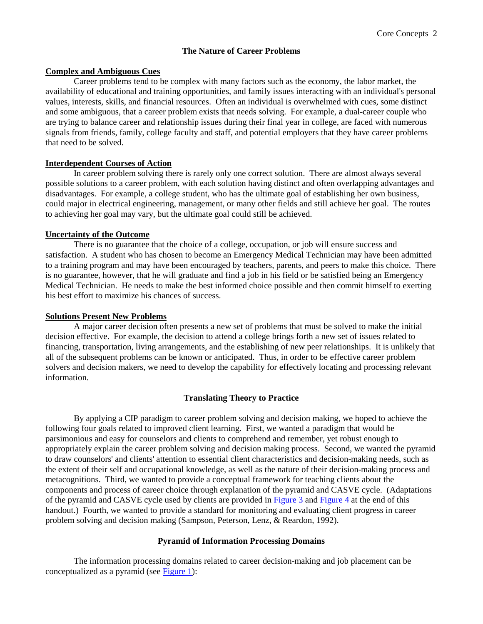### **The Nature of Career Problems**

### <span id="page-1-0"></span>**Complex and Ambiguous Cues**

Career problems tend to be complex with many factors such as the economy, the labor market, the availability of educational and training opportunities, and family issues interacting with an individual's personal values, interests, skills, and financial resources. Often an individual is overwhelmed with cues, some distinct and some ambiguous, that a career problem exists that needs solving. For example, a dual-career couple who are trying to balance career and relationship issues during their final year in college, are faced with numerous signals from friends, family, college faculty and staff, and potential employers that they have career problems that need to be solved.

### **Interdependent Courses of Action**

In career problem solving there is rarely only one correct solution. There are almost always several possible solutions to a career problem, with each solution having distinct and often overlapping advantages and disadvantages. For example, a college student, who has the ultimate goal of establishing her own business, could major in electrical engineering, management, or many other fields and still achieve her goal. The routes to achieving her goal may vary, but the ultimate goal could still be achieved.

### **Uncertainty of the Outcome**

There is no guarantee that the choice of a college, occupation, or job will ensure success and satisfaction. A student who has chosen to become an Emergency Medical Technician may have been admitted to a training program and may have been encouraged by teachers, parents, and peers to make this choice. There is no guarantee, however, that he will graduate and find a job in his field or be satisfied being an Emergency Medical Technician. He needs to make the best informed choice possible and then commit himself to exerting his best effort to maximize his chances of success.

### **Solutions Present New Problems**

A major career decision often presents a new set of problems that must be solved to make the initial decision effective. For example, the decision to attend a college brings forth a new set of issues related to financing, transportation, living arrangements, and the establishing of new peer relationships. It is unlikely that all of the subsequent problems can be known or anticipated. Thus, in order to be effective career problem solvers and decision makers, we need to develop the capability for effectively locating and processing relevant information.

#### **Translating Theory to Practice**

<span id="page-1-1"></span>By applying a CIP paradigm to career problem solving and decision making, we hoped to achieve the following four goals related to improved client learning. First, we wanted a paradigm that would be parsimonious and easy for counselors and clients to comprehend and remember, yet robust enough to appropriately explain the career problem solving and decision making process. Second, we wanted the pyramid to draw counselors' and clients' attention to essential client characteristics and decision-making needs, such as the extent of their self and occupational knowledge, as well as the nature of their decision-making process and metacognitions. Third, we wanted to provide a conceptual framework for teaching clients about the components and process of career choice through explanation of the pyramid and CASVE cycle. (Adaptations of the pyramid and CASVE cycle used by clients are provided in [Figure 3](#page-7-0) and [Figure 4](#page-8-0) at the end of this handout.) Fourth, we wanted to provide a standard for monitoring and evaluating client progress in career problem solving and decision making (Sampson, Peterson, Lenz, & Reardon, 1992).

## **Pyramid of Information Processing Domains**

The information processing domains related to career decision-making and job placement can be conceptualized as a pyramid (see [Figure 1\)](#page-5-1):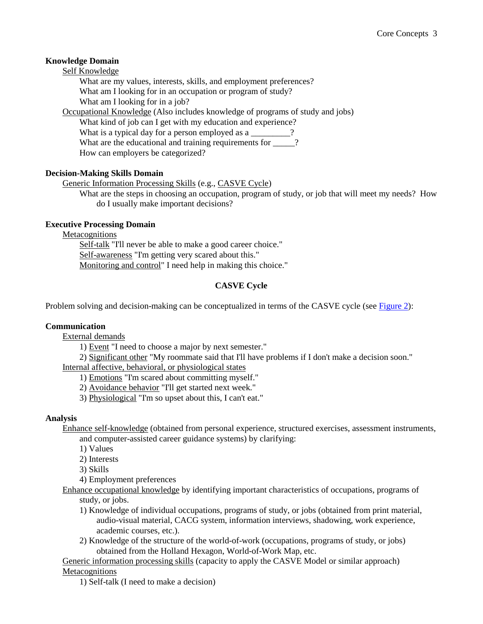## **Knowledge Domain**

Self Knowledge

What are my values, interests, skills, and employment preferences? What am I looking for in an occupation or program of study?

What am I looking for in a job?

Occupational Knowledge (Also includes knowledge of programs of study and jobs)

What kind of job can I get with my education and experience? What is a typical day for a person employed as a  $\frac{1}{2}$ ?

What are the educational and training requirements for \_\_\_\_?

How can employers be categorized?

# **Decision-Making Skills Domain**

Generic Information Processing Skills (e.g., CASVE Cycle)

What are the steps in choosing an occupation, program of study, or job that will meet my needs? How do I usually make important decisions?

## **Executive Processing Domain**

Metacognitions

Self-talk "I'll never be able to make a good career choice." Self-awareness "I'm getting very scared about this." Monitoring and control" I need help in making this choice."

# **CASVE Cycle**

<span id="page-2-0"></span>Problem solving and decision-making can be conceptualized in terms of the CASVE cycle (see [Figure 2\)](#page-6-0):

# **Communication**

External demands

1) Event "I need to choose a major by next semester."

2) Significant other "My roommate said that I'll have problems if I don't make a decision soon." Internal affective, behavioral, or physiological states

1) Emotions "I'm scared about committing myself."

2) Avoidance behavior "I'll get started next week."

3) Physiological "I'm so upset about this, I can't eat."

## **Analysis**

Enhance self-knowledge (obtained from personal experience, structured exercises, assessment instruments, and computer-assisted career guidance systems) by clarifying:

1) Values

2) Interests

- 3) Skills
- 4) Employment preferences

Enhance occupational knowledge by identifying important characteristics of occupations, programs of study, or jobs.

- 1) Knowledge of individual occupations, programs of study, or jobs (obtained from print material, audio-visual material, CACG system, information interviews, shadowing, work experience, academic courses, etc.).
- 2) Knowledge of the structure of the world-of-work (occupations, programs of study, or jobs) obtained from the Holland Hexagon, World-of-Work Map, etc.

Generic information processing skills (capacity to apply the CASVE Model or similar approach) **Metacognitions** 

1) Self-talk (I need to make a decision)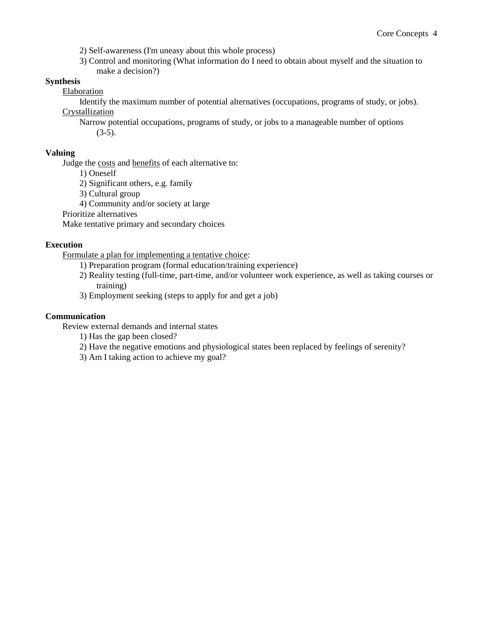2) Self-awareness (I'm uneasy about this whole process)

3) Control and monitoring (What information do I need to obtain about myself and the situation to make a decision?)

## **Synthesis**

Elaboration

Identify the maximum number of potential alternatives (occupations, programs of study, or jobs). **Crystallization** 

Narrow potential occupations, programs of study, or jobs to a manageable number of options  $(3-5)$ .

## **Valuing**

Judge the costs and benefits of each alternative to:

1) Oneself

2) Significant others, e.g. family

3) Cultural group

4) Community and/or society at large

Prioritize alternatives

Make tentative primary and secondary choices

## **Execution**

Formulate a plan for implementing a tentative choice:

- 1) Preparation program (formal education/training experience)
- 2) Reality testing (full-time, part-time, and/or volunteer work experience, as well as taking courses or training)
- 3) Employment seeking (steps to apply for and get a job)

## **Communication**

Review external demands and internal states

- 1) Has the gap been closed?
- 2) Have the negative emotions and physiological states been replaced by feelings of serenity?
- 3) Am I taking action to achieve my goal?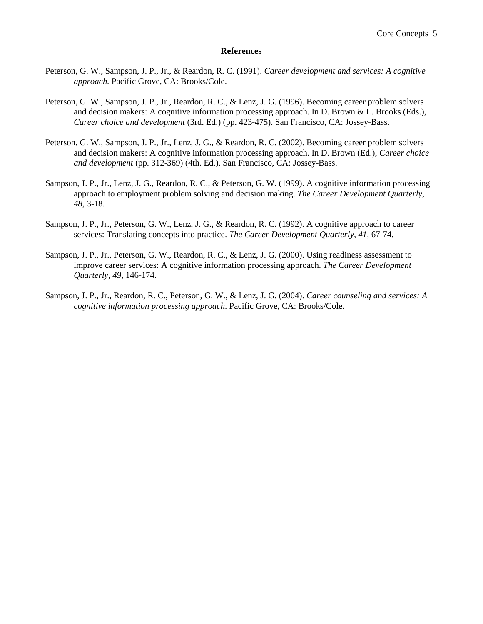#### **References**

- <span id="page-4-0"></span>Peterson, G. W., Sampson, J. P., Jr., & Reardon, R. C. (1991). *Career development and services: A cognitive approach.* Pacific Grove, CA: Brooks/Cole.
- Peterson, G. W., Sampson, J. P., Jr., Reardon, R. C., & Lenz, J. G. (1996). Becoming career problem solvers and decision makers: A cognitive information processing approach. In D. Brown & L. Brooks (Eds.), *Career choice and development* (3rd. Ed.) (pp. 423-475). San Francisco, CA: Jossey-Bass.
- Peterson, G. W., Sampson, J. P., Jr., Lenz, J. G., & Reardon, R. C. (2002). Becoming career problem solvers and decision makers: A cognitive information processing approach. In D. Brown (Ed.), *Career choice and development* (pp. 312-369) (4th. Ed.). San Francisco, CA: Jossey-Bass.
- Sampson, J. P., Jr., Lenz, J. G., Reardon, R. C., & Peterson, G. W. (1999). A cognitive information processing approach to employment problem solving and decision making. *The Career Development Quarterly, 48,* 3-18.
- Sampson, J. P., Jr., Peterson, G. W., Lenz, J. G., & Reardon, R. C. (1992). A cognitive approach to career services: Translating concepts into practice. *The Career Development Quarterly, 41,* 67-74.
- Sampson, J. P., Jr., Peterson, G. W., Reardon, R. C., & Lenz, J. G. (2000). Using readiness assessment to improve career services: A cognitive information processing approach. *The Career Development Quarterly, 49,* 146-174.
- Sampson, J. P., Jr., Reardon, R. C., Peterson, G. W., & Lenz, J. G. (2004). *Career counseling and services: A cognitive information processing approach*. Pacific Grove, CA: Brooks/Cole.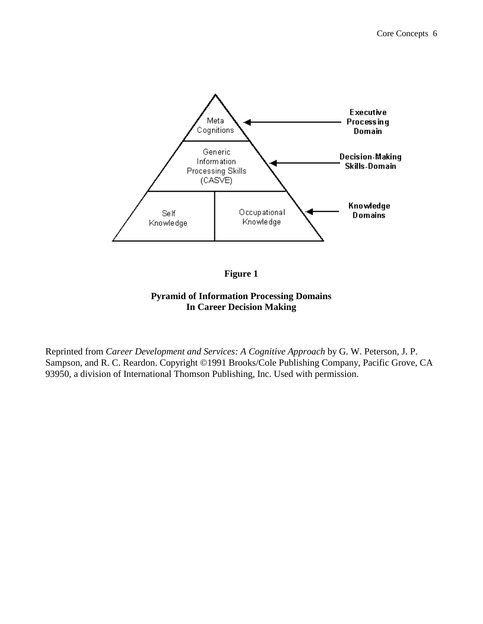<span id="page-5-0"></span>

# **Figure 1**

# **Pyramid of Information Processing Domains In Career Decision Making**

<span id="page-5-1"></span>Reprinted from *Career Development and Services: A Cognitive Approach* by G. W. Peterson, J. P. Sampson, and R. C. Reardon. Copyright ©1991 Brooks/Cole Publishing Company, Pacific Grove, CA 93950, a division of International Thomson Publishing, Inc. Used with permission.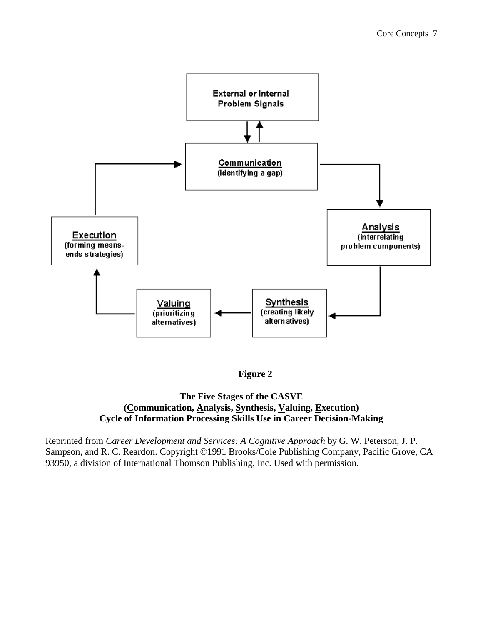

**Figure 2**

# <span id="page-6-0"></span>**The Five Stages of the CASVE (Communication, Analysis, Synthesis, Valuing, Execution) Cycle of Information Processing Skills Use in Career Decision-Making**

Reprinted from *Career Development and Services: A Cognitive Approach* by G. W. Peterson, J. P. Sampson, and R. C. Reardon. Copyright ©1991 Brooks/Cole Publishing Company, Pacific Grove, CA 93950, a division of International Thomson Publishing, Inc. Used with permission.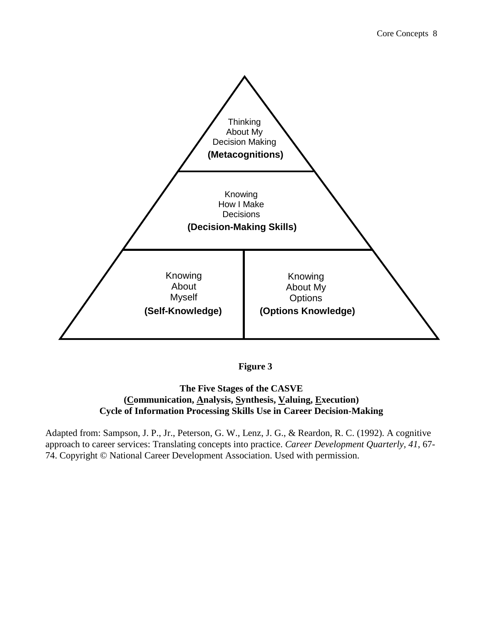

**Figure 3**

# <span id="page-7-0"></span>**The Five Stages of the CASVE (Communication, Analysis, Synthesis, Valuing, Execution) Cycle of Information Processing Skills Use in Career Decision-Making**

Adapted from: Sampson, J. P., Jr., Peterson, G. W., Lenz, J. G., & Reardon, R. C. (1992). A cognitive approach to career services: Translating concepts into practice. *Career Development Quarterly, 41*, 67- 74. Copyright © National Career Development Association. Used with permission.